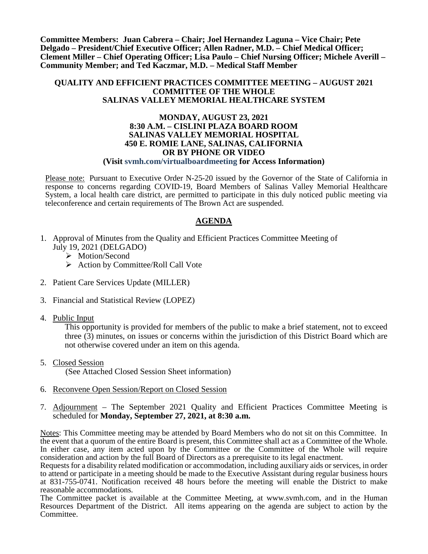**Committee Members: Juan Cabrera – Chair; Joel Hernandez Laguna – Vice Chair; Pete Delgado – President/Chief Executive Officer; Allen Radner, M.D. – Chief Medical Officer; Clement Miller – Chief Operating Officer; Lisa Paulo – Chief Nursing Officer; Michele Averill – Community Member; and Ted Kaczmar, M.D. – Medical Staff Member**

#### **QUALITY AND EFFICIENT PRACTICES COMMITTEE MEETING – AUGUST 2021 COMMITTEE OF THE WHOLE SALINAS VALLEY MEMORIAL HEALTHCARE SYSTEM**

#### **MONDAY, AUGUST 23, 2021 8:30 A.M. – CISLINI PLAZA BOARD ROOM SALINAS VALLEY MEMORIAL HOSPITAL 450 E. ROMIE LANE, SALINAS, CALIFORNIA OR BY PHONE OR VIDEO (Visit svmh.com/virtualboardmeeting for Access Information)**

Please note: Pursuant to Executive Order N-25-20 issued by the Governor of the State of California in response to concerns regarding COVID-19, Board Members of Salinas Valley Memorial Healthcare System, a local health care district, are permitted to participate in this duly noticed public meeting via teleconference and certain requirements of The Brown Act are suspended.

# **AGENDA**

- 1. Approval of Minutes from the Quality and Efficient Practices Committee Meeting of July 19, 2021 (DELGADO)
	- > Motion/Second
	- $\triangleright$  Action by Committee/Roll Call Vote
- 2. Patient Care Services Update (MILLER)
- 3. Financial and Statistical Review (LOPEZ)
- 4. Public Input

This opportunity is provided for members of the public to make a brief statement, not to exceed three (3) minutes, on issues or concerns within the jurisdiction of this District Board which are not otherwise covered under an item on this agenda.

5. Closed Session

(See Attached Closed Session Sheet information)

- 6. Reconvene Open Session/Report on Closed Session
- 7. Adjournment The September 2021 Quality and Efficient Practices Committee Meeting is scheduled for **Monday, September 27, 2021, at 8:30 a.m.**

Notes: This Committee meeting may be attended by Board Members who do not sit on this Committee. In the event that a quorum of the entire Board is present, this Committee shall act as a Committee of the Whole. In either case, any item acted upon by the Committee or the Committee of the Whole will require consideration and action by the full Board of Directors as a prerequisite to its legal enactment.

Requests for a disability related modification or accommodation, including auxiliary aids or services, in order to attend or participate in a meeting should be made to the Executive Assistant during regular business hours at 831-755-0741. Notification received 48 hours before the meeting will enable the District to make reasonable accommodations.

The Committee packet is available at the Committee Meeting, at www.svmh.com, and in the Human Resources Department of the District. All items appearing on the agenda are subject to action by the Committee.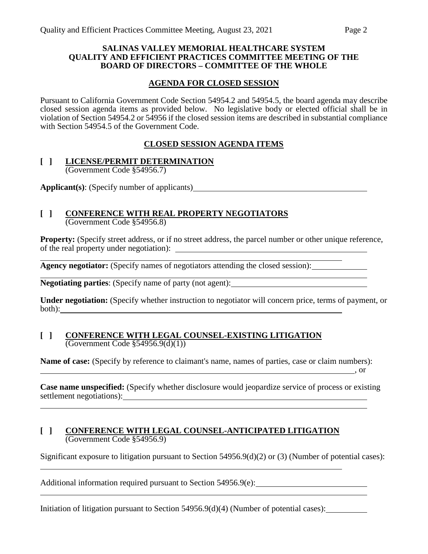#### **SALINAS VALLEY MEMORIAL HEALTHCARE SYSTEM QUALITY AND EFFICIENT PRACTICES COMMITTEE MEETING OF THE BOARD OF DIRECTORS – COMMITTEE OF THE WHOLE**

# **AGENDA FOR CLOSED SESSION**

Pursuant to California Government Code Section 54954.2 and 54954.5, the board agenda may describe closed session agenda items as provided below. No legislative body or elected official shall be in violation of Section 54954.2 or 54956 if the closed session items are described in substantial compliance with Section 54954.5 of the Government Code.

# **CLOSED SESSION AGENDA ITEMS**

#### **[ ] LICENSE/PERMIT DETERMINATION** (Government Code §54956.7)

**Applicant(s)**: (Specify number of applicants)

### **[ ] CONFERENCE WITH REAL PROPERTY NEGOTIATORS** (Government Code §54956.8)

**Property:** (Specify street address, or if no street address, the parcel number or other unique reference, of the real property under negotiation):

**Agency negotiator:** (Specify names of negotiators attending the closed session):

**Negotiating parties**: (Specify name of party (not agent):

**Under negotiation:** (Specify whether instruction to negotiator will concern price, terms of payment, or both):

#### **[ ] CONFERENCE WITH LEGAL COUNSEL-EXISTING LITIGATION** (Government Code §54956.9(d)(1))

**Name of case:** (Specify by reference to claimant's name, names of parties, case or claim numbers):

**Case name unspecified:** (Specify whether disclosure would jeopardize service of process or existing settlement negotiations):

 $\sim$  , or

### **[ ] CONFERENCE WITH LEGAL COUNSEL-ANTICIPATED LITIGATION** (Government Code §54956.9)

Significant exposure to litigation pursuant to Section 54956.9(d)(2) or (3) (Number of potential cases):

Additional information required pursuant to Section 54956.9(e):

Initiation of litigation pursuant to Section 54956.9(d)(4) (Number of potential cases):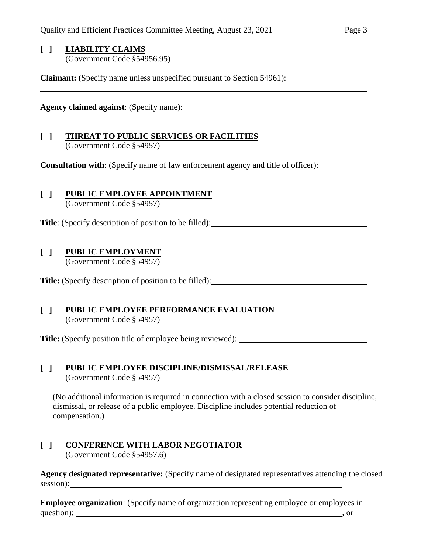# **[ ] LIABILITY CLAIMS** (Government Code §54956.95)

**Claimant:** (Specify name unless unspecified pursuant to Section 54961):

**Agency claimed against**: (Specify name):

# **[ ] THREAT TO PUBLIC SERVICES OR FACILITIES** (Government Code §54957)

**Consultation with**: (Specify name of law enforcement agency and title of officer):

# **[ ] PUBLIC EMPLOYEE APPOINTMENT**

(Government Code §54957)

**Title**: (Specify description of position to be filled):

# **[ ] PUBLIC EMPLOYMENT**

(Government Code §54957)

**Title:** (Specify description of position to be filled):

# **[ ] PUBLIC EMPLOYEE PERFORMANCE EVALUATION** (Government Code §54957)

**Title:** (Specify position title of employee being reviewed):

# **[ ] PUBLIC EMPLOYEE DISCIPLINE/DISMISSAL/RELEASE** (Government Code §54957)

(No additional information is required in connection with a closed session to consider discipline, dismissal, or release of a public employee. Discipline includes potential reduction of compensation.)

#### **[ ] CONFERENCE WITH LABOR NEGOTIATOR** (Government Code §54957.6)

**Agency designated representative:** (Specify name of designated representatives attending the closed session):

**Employee organization**: (Specify name of organization representing employee or employees in question): , or